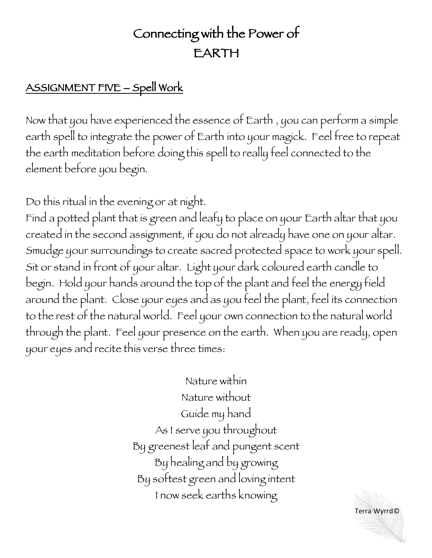## Connecting with the Power of EARTH

## ASSIGNMENT FIVE – Spell Work

Now that you have experienced the essence of Earth , you can perform a simple earth spell to integrate the power of Earth into your magick. Feel free to repeat the earth meditation before doing this spell to really feel connected to the element before you begin.

Do this ritual in the evening or at night.

Find a potted plant that is green and leafy to place on your Earth altar that you created in the second assignment, if you do not already have one on your altar. Smudge your surroundings to create sacred protected space to work your spell. Sit or stand in front of your altar. Light your dark coloured earth candle to begin. Hold your hands around the top of the plant and feel the energy field around the plant. Close your eyes and as you feel the plant, feel its connection to the rest of the natural world. Feel your own connection to the natural world through the plant. Feel your presence on the earth. When you are ready, open your eyes and recite this verse three times:

> Nature within Nature without Guide my hand As I serve you throughout By greenest leaf and pungent scent By healing and by growing By softest green and loving intent I now seek earths knowing